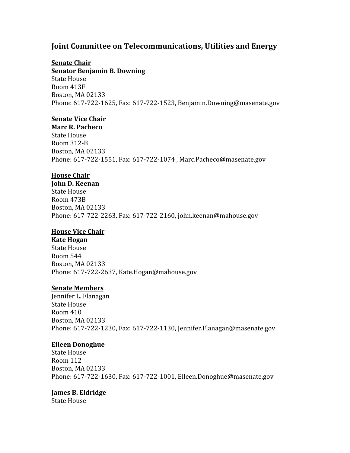# **Joint Committee on Telecommunications, Utilities and Energy**

### **Senate Chair**

**Senator Benjamin B. Downing**  State House Room 413F Boston, MA 02133 Phone: 617‐722‐1625, Fax: 617‐722‐1523, Benjamin.Downing@masenate.gov

### **Senate Vice Chair**

**Marc R. Pacheco** State House Room 312‐B Boston, MA 02133 Phone: 617‐722‐1551, Fax: 617‐722‐1074 , Marc.Pacheco@masenate.gov

### **House Chair**

**John D. Keenan** State House Room 473B Boston, MA 02133 Phone: 617‐722‐2263, Fax: 617‐722‐2160, john.keenan@mahouse.gov

### **House Vice Chair**

**Kate Hogan** State House Room 544 Boston, MA 02133 Phone: 617‐722‐2637, Kate.Hogan@mahouse.gov

### **Senate Members**

Jennifer L. Flanagan State House Room 410 Boston, MA 02133 Phone: 617‐722‐1230, Fax: 617‐722‐1130, Jennifer.Flanagan@masenate.gov

### **Eileen Donoghue**

State House Room 112 Boston, MA 02133 Phone: 617‐722‐1630, Fax: 617‐722‐1001, Eileen.Donoghue@masenate.gov

## **James B. Eldridge**

State House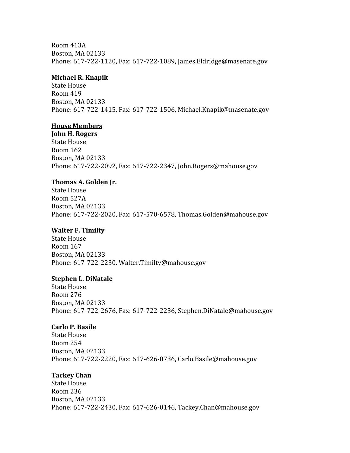Room 413A Boston, MA 02133 Phone: 617‐722‐1120, Fax: 617‐722‐1089, James.Eldridge@masenate.gov

#### **Michael R. Knapik**

State House Room 419 Boston, MA 02133 Phone: 617‐722‐1415, Fax: 617‐722‐1506, Michael.Knapik@masenate.gov

#### **House Members**

**John H. Rogers** State House Room 162 Boston, MA 02133 Phone: 617‐722‐2092, Fax: 617‐722‐2347, John.Rogers@mahouse.gov

#### **Thomas A. Golden Jr.**

State House Room 527A Boston, MA 02133 Phone: 617‐722‐2020, Fax: 617‐570‐6578, Thomas.Golden@mahouse.gov

#### **Walter F. Timilty**

State House Room 167 Boston, MA 02133 Phone: 617‐722‐2230. Walter.Timilty@mahouse.gov

#### **Stephen L. DiNatale**

State House Room 276 Boston, MA 02133 Phone: 617‐722‐2676, Fax: 617‐722‐2236, Stephen.DiNatale@mahouse.gov

#### **Carlo P. Basile**

State House Room 254 Boston, MA 02133 Phone: 617‐722‐2220, Fax: 617‐626‐0736, Carlo.Basile@mahouse.gov

#### **Tackey Chan**

State House Room 236 Boston, MA 02133 Phone: 617‐722‐2430, Fax: 617‐626‐0146, Tackey.Chan@mahouse.gov